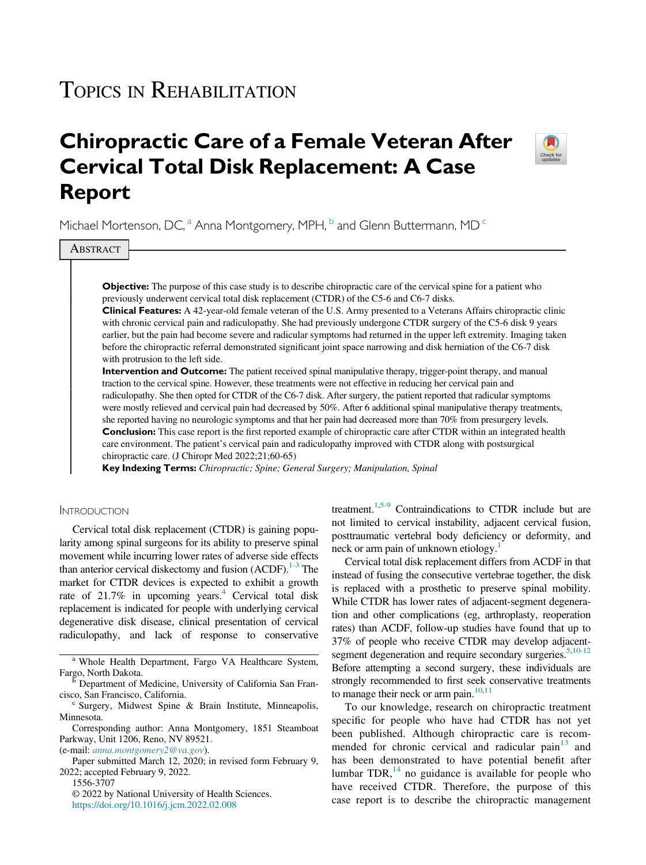# TOPICS IN REHABILITATION

# Chiropractic Care of a Female Veteran After Cervical Total Disk Replacement: A Case Report



Michael Mortenson, DC,<sup>a</sup> Anna Montgomery, MPH,<sup>b</sup> and Glenn Buttermann, MD<sup>c</sup>

**ABSTRACT** 

Objective: The purpose of this case study is to describe chiropractic care of the cervical spine for a patient who previously underwent cervical total disk replacement (CTDR) of the C5-6 and C6-7 disks.

Clinical Features: A 42-year-old female veteran of the U.S. Army presented to a Veterans Affairs chiropractic clinic with chronic cervical pain and radiculopathy. She had previously undergone CTDR surgery of the C5-6 disk 9 years earlier, but the pain had become severe and radicular symptoms had returned in the upper left extremity. Imaging taken before the chiropractic referral demonstrated significant joint space narrowing and disk herniation of the C6-7 disk with protrusion to the left side.

Intervention and Outcome: The patient received spinal manipulative therapy, trigger-point therapy, and manual traction to the cervical spine. However, these treatments were not effective in reducing her cervical pain and radiculopathy. She then opted for CTDR of the C6-7 disk. After surgery, the patient reported that radicular symptoms were mostly relieved and cervical pain had decreased by 50%. After 6 additional spinal manipulative therapy treatments, she reported having no neurologic symptoms and that her pain had decreased more than 70% from presurgery levels. **Conclusion:** This case report is the first reported example of chiropractic care after CTDR within an integrated health care environment. The patient's cervical pain and radiculopathy improved with CTDR along with postsurgical chiropractic care. (J Chiropr Med 2022;21;60-65)

Key Indexing Terms: Chiropractic; Spine; General Surgery; Manipulation, Spinal

#### **INTRODUCTION**

Cervical total disk replacement (CTDR) is gaining popularity among spinal surgeons for its ability to preserve spinal movement while incurring lower rates of adverse side effects than anterior cervical diskectomy and fusion  $(ACDF)$ .<sup>1-3</sup> The market for CTDR devices is expected to exhibit a growth rate of  $21.7\%$  in upcoming years.<sup>4</sup> Cervical total disk replacement is indicated for people with underlying cervical degenerative disk disease, clinical presentation of cervical radiculopathy, and lack of response to conservative

<sup>a</sup> Whole Health Department, Fargo VA Healthcare System,<br>Fargo, North Dakota.<br>B Department of Medicine, University of Colifornia Sep France

(e-mail: [anna.montgomery2@va.gov](mailto:anna.montgomery2@va.gov)).

1556-3707

treatment[.1](#page-4-0)[,5-9](#page-4-2) Contraindications to CTDR include but are not limited to cervical instability, adjacent cervical fusion, posttraumatic vertebral body deficiency or deformity, and neck or arm pain of unknown etiology.<sup>1</sup>

Cervical total disk replacement differs from ACDF in that instead of fusing the consecutive vertebrae together, the disk is replaced with a prosthetic to preserve spinal mobility. While CTDR has lower rates of adjacent-segment degeneration and other complications (eg, arthroplasty, reoperation rates) than ACDF, follow-up studies have found that up to 37% of people who receive CTDR may develop adjacent-segment degeneration and require secondary surgeries.<sup>5[,10-12](#page-4-3)</sup> Before attempting a second surgery, these individuals are strongly recommended to first seek conservative treatments to manage their neck or arm pain. $10,11$  $10,11$ 

To our knowledge, research on chiropractic treatment specific for people who have had CTDR has not yet been published. Although chiropractic care is recommended for chronic cervical and radicular pain $13$  and has been demonstrated to have potential benefit after lumbar  $TDR$ ,  $^{14}$  $^{14}$  $^{14}$  no guidance is available for people who have received CTDR. Therefore, the purpose of this case report is to describe the chiropractic management

<sup>&</sup>lt;sup>b</sup> Department of Medicine, University of California San Francisco, San Francisco, California.

 $c$  Surgery, Midwest Spine & Brain Institute, Minneapolis, Minnesota.

Corresponding author: Anna Montgomery, 1851 Steamboat Parkway, Unit 1206, Reno, NV 89521.

Paper submitted March 12, 2020; in revised form February 9, 2022; accepted February 9, 2022.

<sup>© 2022</sup> by National University of Health Sciences. [https://doi.org/10.1016/j.jcm.2022.02.008](https://dx.doi.org/10.1016/j.jcm.2022.02.008)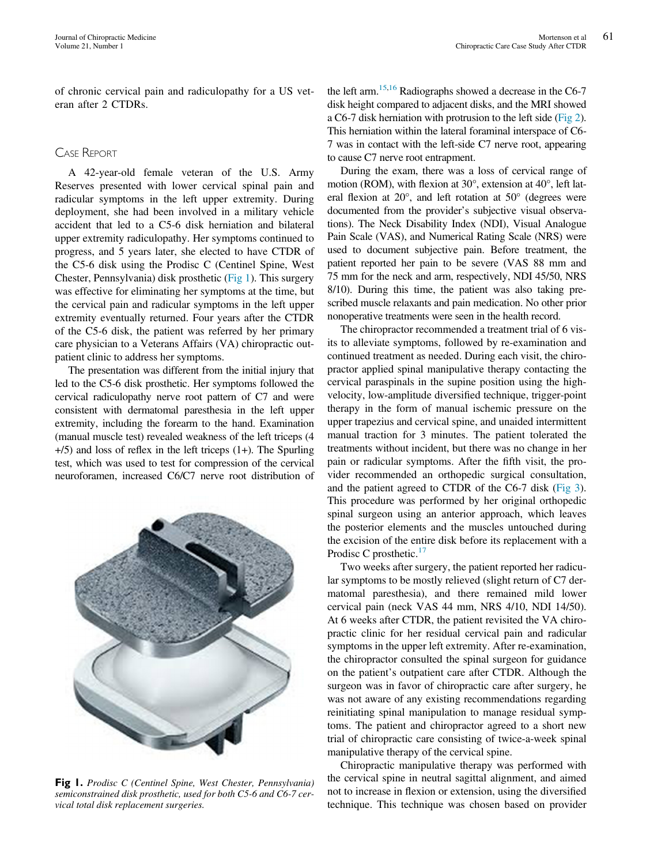of chronic cervical pain and radiculopathy for a US veteran after 2 CTDRs.

### CASE REPORT

A 42-year-old female veteran of the U.S. Army Reserves presented with lower cervical spinal pain and radicular symptoms in the left upper extremity. During deployment, she had been involved in a military vehicle accident that led to a C5-6 disk herniation and bilateral upper extremity radiculopathy. Her symptoms continued to progress, and 5 years later, she elected to have CTDR of the C5-6 disk using the Prodisc C (Centinel Spine, West Chester, Pennsylvania) disk prosthetic [\(Fig 1\)](#page-1-0). This surgery was effective for eliminating her symptoms at the time, but the cervical pain and radicular symptoms in the left upper extremity eventually returned. Four years after the CTDR of the C5-6 disk, the patient was referred by her primary care physician to a Veterans Affairs (VA) chiropractic outpatient clinic to address her symptoms.

The presentation was different from the initial injury that led to the C5-6 disk prosthetic. Her symptoms followed the cervical radiculopathy nerve root pattern of C7 and were consistent with dermatomal paresthesia in the left upper extremity, including the forearm to the hand. Examination (manual muscle test) revealed weakness of the left triceps (4 +/5) and loss of reflex in the left triceps (1+). The Spurling test, which was used to test for compression of the cervical neuroforamen, increased C6/C7 nerve root distribution of

<span id="page-1-0"></span>

Fig 1. Prodisc C (Centinel Spine, West Chester, Pennsylvania) semiconstrained disk prosthetic, used for both C5-6 and C6-7 cervical total disk replacement surgeries.

the left arm[.15](#page-4-7)[,16](#page-4-8) Radiographs showed a decrease in the C6-7 disk height compared to adjacent disks, and the MRI showed a C6-7 disk herniation with protrusion to the left side ([Fig 2\)](#page-2-0). This herniation within the lateral foraminal interspace of C6- 7 was in contact with the left-side C7 nerve root, appearing to cause C7 nerve root entrapment.

During the exam, there was a loss of cervical range of motion (ROM), with flexion at 30°, extension at 40°, left lateral flexion at 20°, and left rotation at 50° (degrees were documented from the provider's subjective visual observations). The Neck Disability Index (NDI), Visual Analogue Pain Scale (VAS), and Numerical Rating Scale (NRS) were used to document subjective pain. Before treatment, the patient reported her pain to be severe (VAS 88 mm and 75 mm for the neck and arm, respectively, NDI 45/50, NRS 8/10). During this time, the patient was also taking prescribed muscle relaxants and pain medication. No other prior nonoperative treatments were seen in the health record.

The chiropractor recommended a treatment trial of 6 visits to alleviate symptoms, followed by re-examination and continued treatment as needed. During each visit, the chiropractor applied spinal manipulative therapy contacting the cervical paraspinals in the supine position using the highvelocity, low-amplitude diversified technique, trigger-point therapy in the form of manual ischemic pressure on the upper trapezius and cervical spine, and unaided intermittent manual traction for 3 minutes. The patient tolerated the treatments without incident, but there was no change in her pain or radicular symptoms. After the fifth visit, the provider recommended an orthopedic surgical consultation, and the patient agreed to CTDR of the C6-7 disk ([Fig 3](#page-2-1)). This procedure was performed by her original orthopedic spinal surgeon using an anterior approach, which leaves the posterior elements and the muscles untouched during the excision of the entire disk before its replacement with a Prodisc C prosthetic.<sup>[17](#page-5-0)</sup>

Two weeks after surgery, the patient reported her radicular symptoms to be mostly relieved (slight return of C7 dermatomal paresthesia), and there remained mild lower cervical pain (neck VAS 44 mm, NRS 4/10, NDI 14/50). At 6 weeks after CTDR, the patient revisited the VA chiropractic clinic for her residual cervical pain and radicular symptoms in the upper left extremity. After re-examination, the chiropractor consulted the spinal surgeon for guidance on the patient's outpatient care after CTDR. Although the surgeon was in favor of chiropractic care after surgery, he was not aware of any existing recommendations regarding reinitiating spinal manipulation to manage residual symptoms. The patient and chiropractor agreed to a short new trial of chiropractic care consisting of twice-a-week spinal manipulative therapy of the cervical spine.

Chiropractic manipulative therapy was performed with the cervical spine in neutral sagittal alignment, and aimed not to increase in flexion or extension, using the diversified technique. This technique was chosen based on provider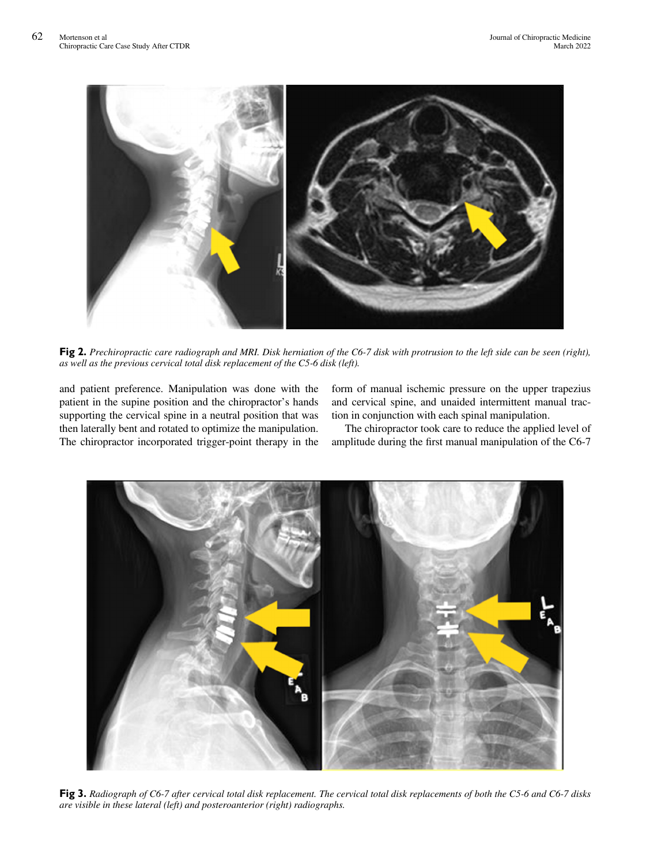<span id="page-2-0"></span>

Fig 2. Prechiropractic care radiograph and MRI. Disk herniation of the C6-7 disk with protrusion to the left side can be seen (right), as well as the previous cervical total disk replacement of the C5-6 disk (left).

and patient preference. Manipulation was done with the patient in the supine position and the chiropractor's hands supporting the cervical spine in a neutral position that was then laterally bent and rotated to optimize the manipulation. The chiropractor incorporated trigger-point therapy in the form of manual ischemic pressure on the upper trapezius and cervical spine, and unaided intermittent manual traction in conjunction with each spinal manipulation.

The chiropractor took care to reduce the applied level of amplitude during the first manual manipulation of the C6-7

<span id="page-2-1"></span>

Fig 3. Radiograph of C6-7 after cervical total disk replacement. The cervical total disk replacements of both the C5-6 and C6-7 disks are visible in these lateral (left) and posteroanterior (right) radiographs.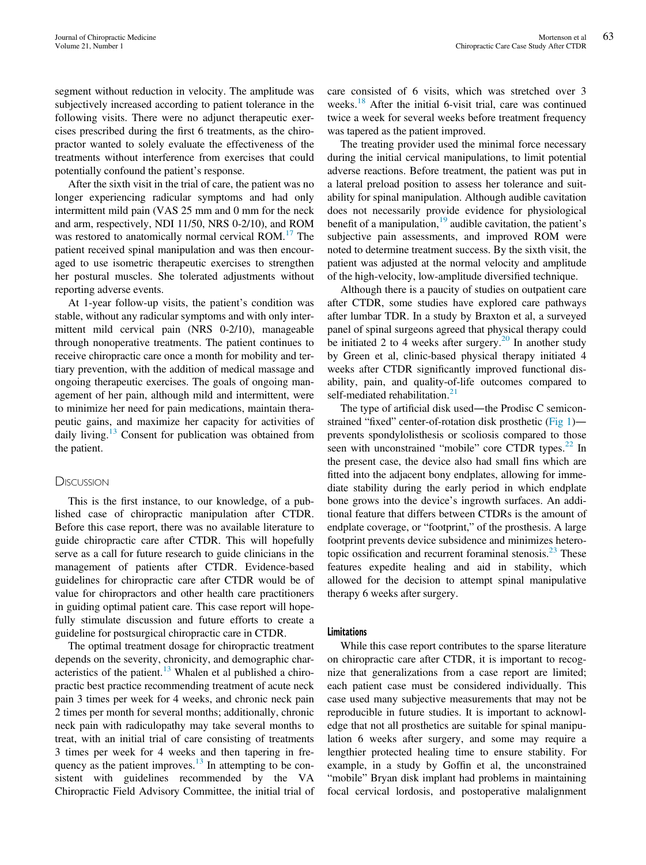segment without reduction in velocity. The amplitude was subjectively increased according to patient tolerance in the following visits. There were no adjunct therapeutic exercises prescribed during the first 6 treatments, as the chiropractor wanted to solely evaluate the effectiveness of the treatments without interference from exercises that could potentially confound the patient's response.

After the sixth visit in the trial of care, the patient was no longer experiencing radicular symptoms and had only intermittent mild pain (VAS 25 mm and 0 mm for the neck and arm, respectively, NDI 11/50, NRS 0-2/10), and ROM was restored to anatomically normal cervical ROM.<sup>[17](#page-5-0)</sup> The patient received spinal manipulation and was then encouraged to use isometric therapeutic exercises to strengthen her postural muscles. She tolerated adjustments without reporting adverse events.

At 1-year follow-up visits, the patient's condition was stable, without any radicular symptoms and with only intermittent mild cervical pain (NRS 0-2/10), manageable through nonoperative treatments. The patient continues to receive chiropractic care once a month for mobility and tertiary prevention, with the addition of medical massage and ongoing therapeutic exercises. The goals of ongoing management of her pain, although mild and intermittent, were to minimize her need for pain medications, maintain therapeutic gains, and maximize her capacity for activities of daily living.<sup>[13](#page-4-5)</sup> Consent for publication was obtained from the patient.

#### **DISCUSSION**

This is the first instance, to our knowledge, of a published case of chiropractic manipulation after CTDR. Before this case report, there was no available literature to guide chiropractic care after CTDR. This will hopefully serve as a call for future research to guide clinicians in the management of patients after CTDR. Evidence-based guidelines for chiropractic care after CTDR would be of value for chiropractors and other health care practitioners in guiding optimal patient care. This case report will hopefully stimulate discussion and future efforts to create a guideline for postsurgical chiropractic care in CTDR.

The optimal treatment dosage for chiropractic treatment depends on the severity, chronicity, and demographic characteristics of the patient. $13$  Whalen et al published a chiropractic best practice recommending treatment of acute neck pain 3 times per week for 4 weeks, and chronic neck pain 2 times per month for several months; additionally, chronic neck pain with radiculopathy may take several months to treat, with an initial trial of care consisting of treatments 3 times per week for 4 weeks and then tapering in frequency as the patient improves. $13$  In attempting to be consistent with guidelines recommended by the VA Chiropractic Field Advisory Committee, the initial trial of care consisted of 6 visits, which was stretched over 3 weeks.<sup>[18](#page-5-1)</sup> After the initial 6-visit trial, care was continued twice a week for several weeks before treatment frequency was tapered as the patient improved.

The treating provider used the minimal force necessary during the initial cervical manipulations, to limit potential adverse reactions. Before treatment, the patient was put in a lateral preload position to assess her tolerance and suitability for spinal manipulation. Although audible cavitation does not necessarily provide evidence for physiological benefit of a manipulation,  $19$  audible cavitation, the patient's subjective pain assessments, and improved ROM were noted to determine treatment success. By the sixth visit, the patient was adjusted at the normal velocity and amplitude of the high-velocity, low-amplitude diversified technique.

Although there is a paucity of studies on outpatient care after CTDR, some studies have explored care pathways after lumbar TDR. In a study by Braxton et al, a surveyed panel of spinal surgeons agreed that physical therapy could be initiated 2 to 4 weeks after surgery.<sup>20</sup> In another study by Green et al, clinic-based physical therapy initiated 4 weeks after CTDR significantly improved functional disability, pain, and quality-of-life outcomes compared to self-mediated rehabilitation. $^{21}$  $^{21}$  $^{21}$ 

The type of artificial disk used—the Prodisc C semiconstrained "fixed" center-of-rotation disk prosthetic [\(Fig 1](#page-1-0)) prevents spondylolisthesis or scoliosis compared to those seen with unconstrained "mobile" core CTDR types.<sup>[22](#page-5-5)</sup> In the present case, the device also had small fins which are fitted into the adjacent bony endplates, allowing for immediate stability during the early period in which endplate bone grows into the device's ingrowth surfaces. An additional feature that differs between CTDRs is the amount of endplate coverage, or "footprint," of the prosthesis. A large footprint prevents device subsidence and minimizes heterotopic ossification and recurrent foraminal stenosis. $^{23}$  $^{23}$  $^{23}$  These features expedite healing and aid in stability, which allowed for the decision to attempt spinal manipulative therapy 6 weeks after surgery.

#### Limitations

While this case report contributes to the sparse literature on chiropractic care after CTDR, it is important to recognize that generalizations from a case report are limited; each patient case must be considered individually. This case used many subjective measurements that may not be reproducible in future studies. It is important to acknowledge that not all prosthetics are suitable for spinal manipulation 6 weeks after surgery, and some may require a lengthier protected healing time to ensure stability. For example, in a study by Goffin et al, the unconstrained "mobile" Bryan disk implant had problems in maintaining focal cervical lordosis, and postoperative malalignment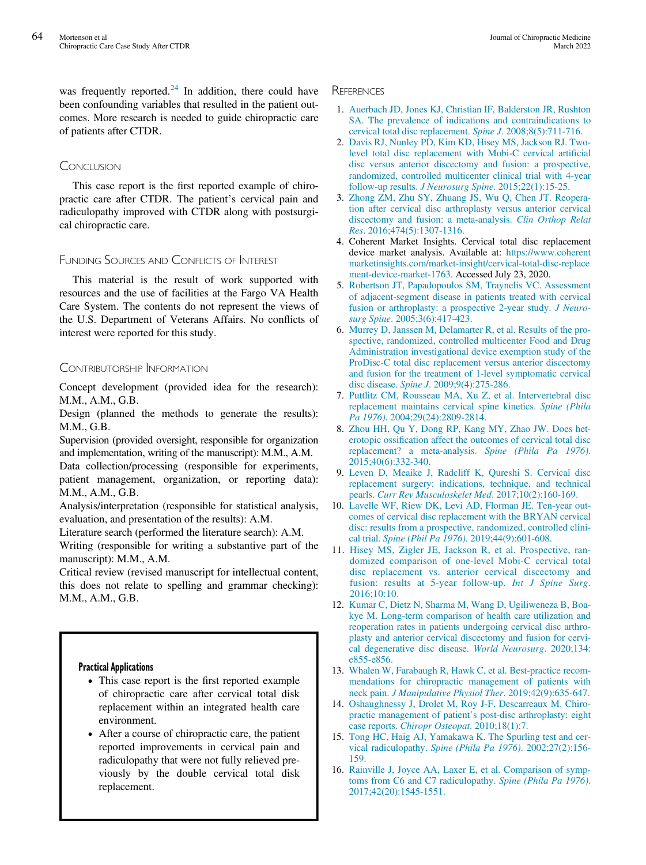<span id="page-4-0"></span>was frequently reported. $^{24}$  $^{24}$  $^{24}$  In addition, there could have been confounding variables that resulted in the patient outcomes. More research is needed to guide chiropractic care of patients after CTDR.

### **CONCLUSION**

This case report is the first reported example of chiropractic care after CTDR. The patient's cervical pain and radiculopathy improved with CTDR along with postsurgical chiropractic care.

## <span id="page-4-1"></span>FUNDING SOURCES AND CONFLICTS OF INTEREST

<span id="page-4-2"></span>This material is the result of work supported with resources and the use of facilities at the Fargo VA Health Care System. The contents do not represent the views of the U.S. Department of Veterans Affairs. No conflicts of interest were reported for this study.

## CONTRIBUTORSHIP INFORMATION

Concept development (provided idea for the research): M.M., A.M., G.B.

Design (planned the methods to generate the results): M.M., G.B.

Supervision (provided oversight, responsible for organization and implementation, writing of the manuscript): M.M., A.M.

Data collection/processing (responsible for experiments, patient management, organization, or reporting data): M.M., A.M., G.B.

<span id="page-4-3"></span>Analysis/interpretation (responsible for statistical analysis, evaluation, and presentation of the results): A.M.

Literature search (performed the literature search): A.M.

<span id="page-4-4"></span>Writing (responsible for writing a substantive part of the manuscript): M.M., A.M.

Critical review (revised manuscript for intellectual content, this does not relate to spelling and grammar checking): M.M., A.M., G.B.

#### <span id="page-4-6"></span><span id="page-4-5"></span>Practical Applications

- This case report is the first reported example of chiropractic care after cervical total disk replacement within an integrated health care environment.
- <span id="page-4-8"></span><span id="page-4-7"></span> After a course of chiropractic care, the patient reported improvements in cervical pain and radiculopathy that were not fully relieved previously by the double cervical total disk replacement.

#### **REFERENCES**

- 1. [Auerbach JD, Jones KJ, Christian IF, Balderston JR, Rushton](http://refhub.elsevier.com/S1556-3707(22)00015-3/sbref0001) [SA. The prevalence of indications and contraindications to](http://refhub.elsevier.com/S1556-3707(22)00015-3/sbref0001) [cervical total disc replacement.](http://refhub.elsevier.com/S1556-3707(22)00015-3/sbref0001) Spine J. 2008;8(5):711-716.
- 2. [Davis RJ, Nunley PD, Kim KD, Hisey MS, Jackson RJ. Two](http://refhub.elsevier.com/S1556-3707(22)00015-3/sbref0002)[level total disc replacement with Mobi-C cervical arti](http://refhub.elsevier.com/S1556-3707(22)00015-3/sbref0002)ficial [disc versus anterior discectomy and fusion: a prospective,](http://refhub.elsevier.com/S1556-3707(22)00015-3/sbref0002) [randomized, controlled multicenter clinical trial with 4-year](http://refhub.elsevier.com/S1556-3707(22)00015-3/sbref0002) follow-up results. J Neurosurg Spine[. 2015;22\(1\):15-25.](http://refhub.elsevier.com/S1556-3707(22)00015-3/sbref0002)
- 3. [Zhong ZM, Zhu SY, Zhuang JS, Wu Q, Chen JT. Reopera](http://refhub.elsevier.com/S1556-3707(22)00015-3/sbref0003)[tion after cervical disc arthroplasty versus anterior cervical](http://refhub.elsevier.com/S1556-3707(22)00015-3/sbref0003) [discectomy and fusion: a meta-analysis.](http://refhub.elsevier.com/S1556-3707(22)00015-3/sbref0003) Clin Orthop Relat Res[. 2016;474\(5\):1307-1316.](http://refhub.elsevier.com/S1556-3707(22)00015-3/sbref0003)
- 4. Coherent Market Insights. Cervical total disc replacement device market analysis. Available at: [https://www.coherent](https://www.coherentmarketinsights.com/market-insight/cervical-total-disc-replacement-device-market-1763) [marketinsights.com/market-insight/cervical-total-disc-replace](https://www.coherentmarketinsights.com/market-insight/cervical-total-disc-replacement-device-market-1763) [ment-device-market-1763](https://www.coherentmarketinsights.com/market-insight/cervical-total-disc-replacement-device-market-1763). Accessed July 23, 2020.
- 5. [Robertson JT, Papadopoulos SM, Traynelis VC. Assessment](http://refhub.elsevier.com/S1556-3707(22)00015-3/sbref0006) [of adjacent-segment disease in patients treated with cervical](http://refhub.elsevier.com/S1556-3707(22)00015-3/sbref0006) [fusion or arthroplasty: a prospective 2-year study.](http://refhub.elsevier.com/S1556-3707(22)00015-3/sbref0006) J Neurosurg Spine[. 2005;3\(6\):417-423.](http://refhub.elsevier.com/S1556-3707(22)00015-3/sbref0006)
- 6. [Murrey D, Janssen M, Delamarter R, et al. Results of the pro](http://refhub.elsevier.com/S1556-3707(22)00015-3/sbref0007)[spective, randomized, controlled multicenter Food and Drug](http://refhub.elsevier.com/S1556-3707(22)00015-3/sbref0007) [Administration investigational device exemption study of the](http://refhub.elsevier.com/S1556-3707(22)00015-3/sbref0007) [ProDisc-C total disc replacement versus anterior discectomy](http://refhub.elsevier.com/S1556-3707(22)00015-3/sbref0007) [and fusion for the treatment of 1-level symptomatic cervical](http://refhub.elsevier.com/S1556-3707(22)00015-3/sbref0007) disc disease. Spine J[. 2009;9\(4\):275-286.](http://refhub.elsevier.com/S1556-3707(22)00015-3/sbref0007)
- 7. [Puttlitz CM, Rousseau MA, Xu Z, et al. Intervertebral disc](http://refhub.elsevier.com/S1556-3707(22)00015-3/sbref0008) [replacement maintains cervical spine kinetics.](http://refhub.elsevier.com/S1556-3707(22)00015-3/sbref0008) Spine (Phila Pa 1976)[. 2004;29\(24\):2809-2814.](http://refhub.elsevier.com/S1556-3707(22)00015-3/sbref0008)
- 8. [Zhou HH, Qu Y, Dong RP, Kang MY, Zhao JW. Does het](http://refhub.elsevier.com/S1556-3707(22)00015-3/sbref0009)erotopic ossifi[cation affect the outcomes of cervical total disc](http://refhub.elsevier.com/S1556-3707(22)00015-3/sbref0009) [replacement? a meta-analysis.](http://refhub.elsevier.com/S1556-3707(22)00015-3/sbref0009) Spine (Phila Pa 1976). [2015;40\(6\):332-340.](http://refhub.elsevier.com/S1556-3707(22)00015-3/sbref0009)
- 9. [Leven D, Meaike J, Radcliff K, Qureshi S. Cervical disc](http://refhub.elsevier.com/S1556-3707(22)00015-3/sbref0010) [replacement surgery: indications, technique, and technical](http://refhub.elsevier.com/S1556-3707(22)00015-3/sbref0010) pearls. [Curr Rev Musculoskelet Med](http://refhub.elsevier.com/S1556-3707(22)00015-3/sbref0010). 2017;10(2):160-169.
- 10. [Lavelle WF, Riew DK, Levi AD, Florman JE. Ten-year out](http://refhub.elsevier.com/S1556-3707(22)00015-3/sbref0011)[comes of cervical disc replacement with the BRYAN cervical](http://refhub.elsevier.com/S1556-3707(22)00015-3/sbref0011) [disc: results from a prospective, randomized, controlled clini](http://refhub.elsevier.com/S1556-3707(22)00015-3/sbref0011)cal trial. Spine (Phil Pa 1976)[. 2019;44\(9\):601-608.](http://refhub.elsevier.com/S1556-3707(22)00015-3/sbref0011)
- 11. [Hisey MS, Zigler JE, Jackson R, et al. Prospective, ran](http://refhub.elsevier.com/S1556-3707(22)00015-3/sbref0012)[domized comparison of one-level Mobi-C cervical total](http://refhub.elsevier.com/S1556-3707(22)00015-3/sbref0012) [disc replacement vs. anterior cervical discectomy and](http://refhub.elsevier.com/S1556-3707(22)00015-3/sbref0012) [fusion: results at 5-year follow-up.](http://refhub.elsevier.com/S1556-3707(22)00015-3/sbref0012) Int J Spine Surg. [2016;10:10.](http://refhub.elsevier.com/S1556-3707(22)00015-3/sbref0012)
- 12. [Kumar C, Dietz N, Sharma M, Wang D, Ugiliweneza B, Boa](http://refhub.elsevier.com/S1556-3707(22)00015-3/sbref0013)[kye M. Long-term comparison of health care utilization and](http://refhub.elsevier.com/S1556-3707(22)00015-3/sbref0013) [reoperation rates in patients undergoing cervical disc arthro](http://refhub.elsevier.com/S1556-3707(22)00015-3/sbref0013)[plasty and anterior cervical discectomy and fusion for cervi](http://refhub.elsevier.com/S1556-3707(22)00015-3/sbref0013)[cal degenerative disc disease.](http://refhub.elsevier.com/S1556-3707(22)00015-3/sbref0013) World Neurosurg. 2020;134: [e855-e856.](http://refhub.elsevier.com/S1556-3707(22)00015-3/sbref0013)
- 13. [Whalen W, Farabaugh R, Hawk C, et al. Best-practice recom](http://refhub.elsevier.com/S1556-3707(22)00015-3/sbref0014)[mendations for chiropractic management of patients with](http://refhub.elsevier.com/S1556-3707(22)00015-3/sbref0014) neck pain. [J Manipulative Physiol Ther](http://refhub.elsevier.com/S1556-3707(22)00015-3/sbref0014). 2019;42(9):635-647.
- 14. [Oshaughnessy J, Drolet M, Roy J-F, Descarreaux M. Chiro](http://refhub.elsevier.com/S1556-3707(22)00015-3/sbref0015)[practic management of patient](http://refhub.elsevier.com/S1556-3707(22)00015-3/sbref0015)'s post-disc arthroplasty: eight case reports. [Chiropr Osteopat](http://refhub.elsevier.com/S1556-3707(22)00015-3/sbref0015). 2010;18(1):7.
- 15. [Tong HC, Haig AJ, Yamakawa K. The Spurling test and cer](http://refhub.elsevier.com/S1556-3707(22)00015-3/sbref0016)vical radiculopathy. [Spine \(Phila Pa 1976\)](http://refhub.elsevier.com/S1556-3707(22)00015-3/sbref0016). 2002;27(2):156- [159.](http://refhub.elsevier.com/S1556-3707(22)00015-3/sbref0016)
- 16. [Rainville J, Joyce AA, Laxer E, et al. Comparison of symp](http://refhub.elsevier.com/S1556-3707(22)00015-3/sbref0017)[toms from C6 and C7 radiculopathy.](http://refhub.elsevier.com/S1556-3707(22)00015-3/sbref0017) Spine (Phila Pa 1976). [2017;42\(20\):1545-1551.](http://refhub.elsevier.com/S1556-3707(22)00015-3/sbref0017)